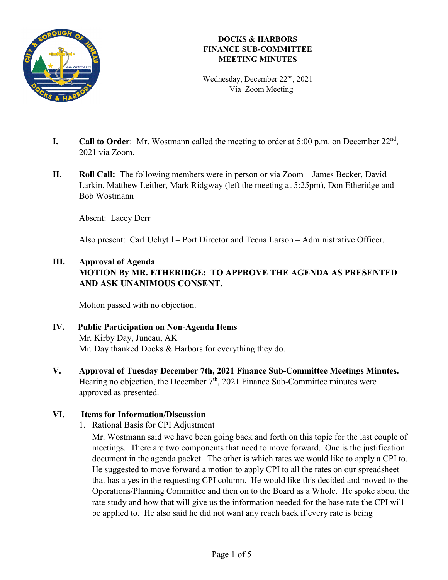

Wednesday, December 22<sup>nd</sup>, 2021 Via Zoom Meeting

- **I.** Call to Order: Mr. Wostmann called the meeting to order at 5:00 p.m. on December 22<sup>nd</sup>, 2021 via Zoom.
- **II. Roll Call:** The following members were in person or via Zoom James Becker, David Larkin, Matthew Leither, Mark Ridgway (left the meeting at 5:25pm), Don Etheridge and Bob Wostmann

Absent:Lacey Derr

Also present: Carl Uchytil – Port Director and Teena Larson – Administrative Officer.

## **III. Approval of Agenda MOTION By MR. ETHERIDGE: TO APPROVE THE AGENDA AS PRESENTED AND ASK UNANIMOUS CONSENT.**

Motion passed with no objection.

- **IV. Public Participation on Non-Agenda Items** Mr. Kirby Day, Juneau, AK Mr. Day thanked Docks & Harbors for everything they do.
- **V. Approval of Tuesday December 7th, 2021 Finance Sub-Committee Meetings Minutes.** Hearing no objection, the December  $7<sup>th</sup>$ , 2021 Finance Sub-Committee minutes were approved as presented.

### **VI. Items for Information/Discussion**

1. Rational Basis for CPI Adjustment

Mr. Wostmann said we have been going back and forth on this topic for the last couple of meetings. There are two components that need to move forward. One is the justification document in the agenda packet. The other is which rates we would like to apply a CPI to. He suggested to move forward a motion to apply CPI to all the rates on our spreadsheet that has a yes in the requesting CPI column. He would like this decided and moved to the Operations/Planning Committee and then on to the Board as a Whole. He spoke about the rate study and how that will give us the information needed for the base rate the CPI will be applied to. He also said he did not want any reach back if every rate is being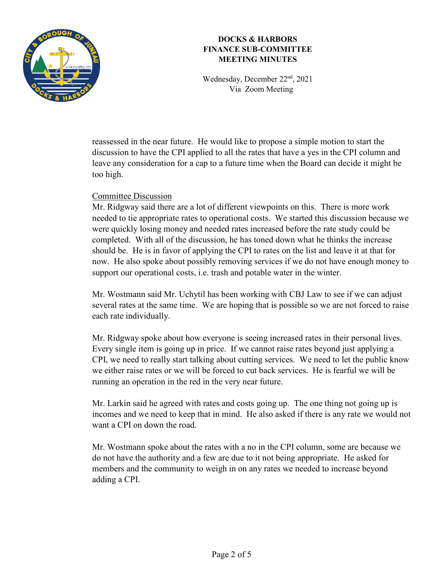

Wednesday, December 22<sup>nd</sup>, 2021 Via Zoom Meeting

reassessed in the near future. He would like to propose a simple motion to start the discussion to have the CPI applied to all the rates that have a yes in the CPI column and leave any consideration for a cap to a future time when the Board can decide it might be too high.

#### Committee Discussion

Mr. Ridgway said there are a lot of different viewpoints on this. There is more work needed to tie appropriate rates to operational costs. We started this discussion because we were quickly losing money and needed rates increased before the rate study could be completed. With all of the discussion, he has toned down what he thinks the increase should be. He is in favor of applying the CPI to rates on the list and leave it at that for now. He also spoke about possibly removing services if we do not have enough money to support our operational costs, i.e. trash and potable water in the winter.

Mr. Wostmann said Mr. Uchytil has been working with CBJ Law to see if we can adjust several rates at the same time. We are hoping that is possible so we are not forced to raise each rate individually.

Mr. Ridgway spoke about how everyone is seeing increased rates in their personal lives. Every single item is going up in price. If we cannot raise rates beyond just applying a CPI, we need to really start talking about cutting services. We need to let the public know we either raise rates or we will be forced to cut back services. He is fearful we will be running an operation in the red in the very near future.

Mr. Larkin said he agreed with rates and costs going up. The one thing not going up is incomes and we need to keep that in mind. He also asked if there is any rate we would not want a CPI on down the road.

Mr. Wostmann spoke about the rates with a no in the CPI column, some are because we do not have the authority and a few are due to it not being appropriate. He asked for members and the community to weigh in on any rates we needed to increase beyond adding a CPI.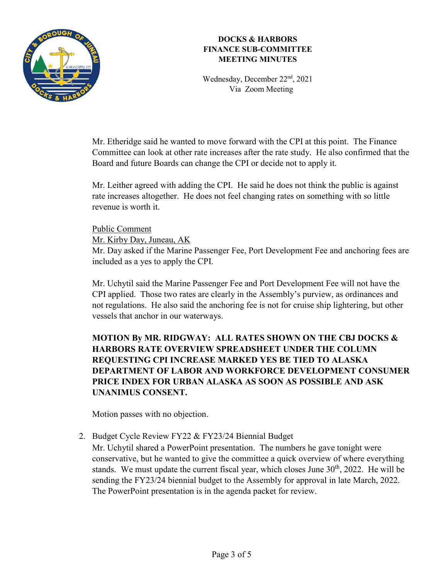

Wednesday, December 22<sup>nd</sup>, 2021 Via Zoom Meeting

Mr. Etheridge said he wanted to move forward with the CPI at this point. The Finance Committee can look at other rate increases after the rate study. He also confirmed that the Board and future Boards can change the CPI or decide not to apply it.

Mr. Leither agreed with adding the CPI. He said he does not think the public is against rate increases altogether. He does not feel changing rates on something with so little revenue is worth it.

Public Comment Mr. Kirby Day, Juneau, AK Mr. Day asked if the Marine Passenger Fee, Port Development Fee and anchoring fees are included as a yes to apply the CPI.

Mr. Uchytil said the Marine Passenger Fee and Port Development Fee will not have the CPI applied. Those two rates are clearly in the Assembly's purview, as ordinances and not regulations. He also said the anchoring fee is not for cruise ship lightering, but other vessels that anchor in our waterways.

# **MOTION By MR. RIDGWAY: ALL RATES SHOWN ON THE CBJ DOCKS & HARBORS RATE OVERVIEW SPREADSHEET UNDER THE COLUMN REQUESTING CPI INCREASE MARKED YES BE TIED TO ALASKA DEPARTMENT OF LABOR AND WORKFORCE DEVELOPMENT CONSUMER PRICE INDEX FOR URBAN ALASKA AS SOON AS POSSIBLE AND ASK UNANIMUS CONSENT.**

Motion passes with no objection.

2. Budget Cycle Review FY22 & FY23/24 Biennial Budget

Mr. Uchytil shared a PowerPoint presentation. The numbers he gave tonight were conservative, but he wanted to give the committee a quick overview of where everything stands. We must update the current fiscal year, which closes June 30<sup>th</sup>, 2022. He will be sending the FY23/24 biennial budget to the Assembly for approval in late March, 2022. The PowerPoint presentation is in the agenda packet for review.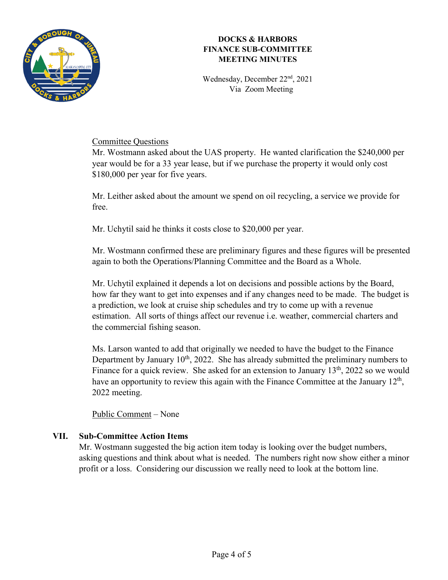

Wednesday, December 22<sup>nd</sup>, 2021 Via Zoom Meeting

Committee Questions

Mr. Wostmann asked about the UAS property. He wanted clarification the \$240,000 per year would be for a 33 year lease, but if we purchase the property it would only cost \$180,000 per year for five years.

Mr. Leither asked about the amount we spend on oil recycling, a service we provide for free.

Mr. Uchytil said he thinks it costs close to \$20,000 per year.

Mr. Wostmann confirmed these are preliminary figures and these figures will be presented again to both the Operations/Planning Committee and the Board as a Whole.

Mr. Uchytil explained it depends a lot on decisions and possible actions by the Board, how far they want to get into expenses and if any changes need to be made. The budget is a prediction, we look at cruise ship schedules and try to come up with a revenue estimation. All sorts of things affect our revenue i.e. weather, commercial charters and the commercial fishing season.

Ms. Larson wanted to add that originally we needed to have the budget to the Finance Department by January  $10^{th}$ , 2022. She has already submitted the preliminary numbers to Finance for a quick review. She asked for an extension to January  $13<sup>th</sup>$ , 2022 so we would have an opportunity to review this again with the Finance Committee at the January  $12<sup>th</sup>$ , 2022 meeting.

Public Comment – None

### **VII. Sub-Committee Action Items**

Mr. Wostmann suggested the big action item today is looking over the budget numbers, asking questions and think about what is needed. The numbers right now show either a minor profit or a loss. Considering our discussion we really need to look at the bottom line.